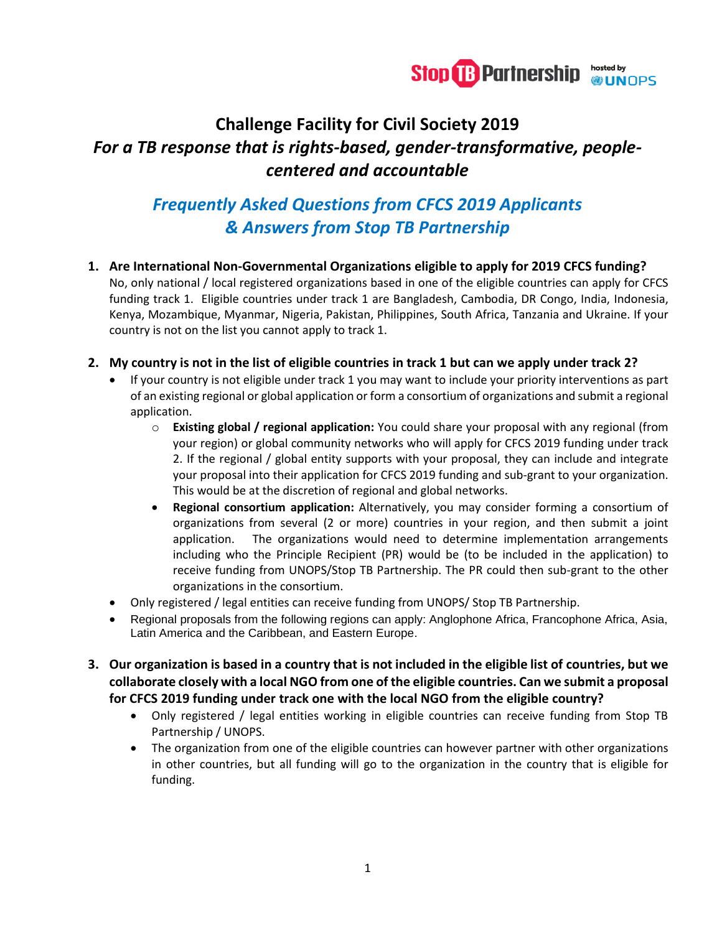

# **Challenge Facility for Civil Society 2019** *For a TB response that is rights-based, gender-transformative, peoplecentered and accountable*

## *Frequently Asked Questions from CFCS 2019 Applicants & Answers from Stop TB Partnership*

**1. Are International Non-Governmental Organizations eligible to apply for 2019 CFCS funding?**  No, only national / local registered organizations based in one of the eligible countries can apply for CFCS funding track 1. Eligible countries under track 1 are Bangladesh, Cambodia, DR Congo, India, Indonesia, Kenya, Mozambique, Myanmar, Nigeria, Pakistan, Philippines, South Africa, Tanzania and Ukraine. If your country is not on the list you cannot apply to track 1.

#### **2. My country is not in the list of eligible countries in track 1 but can we apply under track 2?**

- If your country is not eligible under track 1 you may want to include your priority interventions as part of an existing regional or global application or form a consortium of organizations and submit a regional application.
	- o **Existing global / regional application:** You could share your proposal with any regional (from your region) or global community networks who will apply for CFCS 2019 funding under track 2. If the regional / global entity supports with your proposal, they can include and integrate your proposal into their application for CFCS 2019 funding and sub-grant to your organization. This would be at the discretion of regional and global networks.
	- **Regional consortium application:** Alternatively, you may consider forming a consortium of organizations from several (2 or more) countries in your region, and then submit a joint application. The organizations would need to determine implementation arrangements including who the Principle Recipient (PR) would be (to be included in the application) to receive funding from UNOPS/Stop TB Partnership. The PR could then sub-grant to the other organizations in the consortium.
- Only registered / legal entities can receive funding from UNOPS/ Stop TB Partnership.
- Regional proposals from the following regions can apply: Anglophone Africa, Francophone Africa, Asia, Latin America and the Caribbean, and Eastern Europe.
- **3. Our organization is based in a country that is not included in the eligible list of countries, but we collaborate closely with a local NGO from one of the eligible countries. Can we submit a proposal for CFCS 2019 funding under track one with the local NGO from the eligible country?**
	- Only registered / legal entities working in eligible countries can receive funding from Stop TB Partnership / UNOPS.
	- The organization from one of the eligible countries can however partner with other organizations in other countries, but all funding will go to the organization in the country that is eligible for funding.